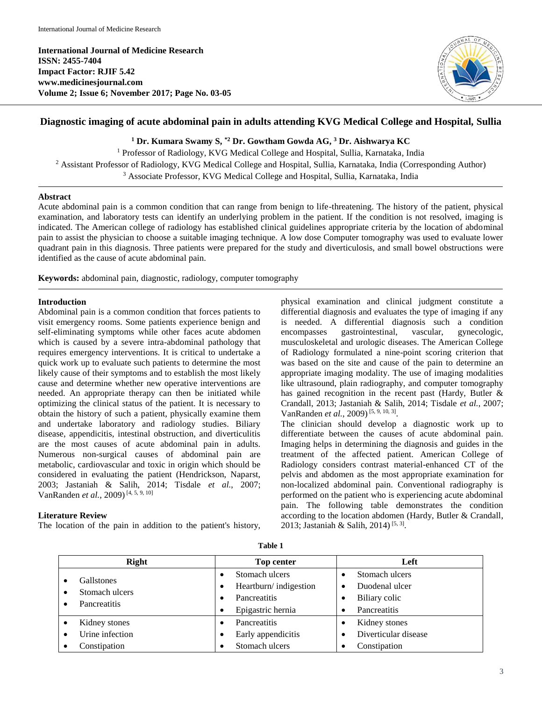**International Journal of Medicine Research ISSN: 2455-7404 Impact Factor: RJIF 5.42 www.medicinesjournal.com Volume 2; Issue 6; November 2017; Page No. 03-05**



# **Diagnostic imaging of acute abdominal pain in adults attending KVG Medical College and Hospital, Sullia**

**<sup>1</sup> Dr. Kumara Swamy S, \*2 Dr. Gowtham Gowda AG, <sup>3</sup> Dr. Aishwarya KC**

<sup>1</sup> Professor of Radiology, KVG Medical College and Hospital, Sullia, Karnataka, India <sup>2</sup> Assistant Professor of Radiology, KVG Medical College and Hospital, Sullia, Karnataka, India (Corresponding Author) <sup>3</sup> Associate Professor, KVG Medical College and Hospital, Sullia, Karnataka, India

#### **Abstract**

Acute abdominal pain is a common condition that can range from benign to life-threatening. The history of the patient, physical examination, and laboratory tests can identify an underlying problem in the patient. If the condition is not resolved, imaging is indicated. The American college of radiology has established clinical guidelines appropriate criteria by the location of abdominal pain to assist the physician to choose a suitable imaging technique. A low dose Computer tomography was used to evaluate lower quadrant pain in this diagnosis. Three patients were prepared for the study and diverticulosis, and small bowel obstructions were identified as the cause of acute abdominal pain.

**Keywords:** abdominal pain, diagnostic, radiology, computer tomography

#### **Introduction**

Abdominal pain is a common condition that forces patients to visit emergency rooms. Some patients experience benign and self-eliminating symptoms while other faces acute abdomen which is caused by a severe intra-abdominal pathology that requires emergency interventions. It is critical to undertake a quick work up to evaluate such patients to determine the most likely cause of their symptoms and to establish the most likely cause and determine whether new operative interventions are needed. An appropriate therapy can then be initiated while optimizing the clinical status of the patient. It is necessary to obtain the history of such a patient, physically examine them and undertake laboratory and radiology studies. Biliary disease, appendicitis, intestinal obstruction, and diverticulitis are the most causes of acute abdominal pain in adults. Numerous non-surgical causes of abdominal pain are metabolic, cardiovascular and toxic in origin which should be considered in evaluating the patient (Hendrickson, Naparst, 2003; Jastaniah & Salih, 2014; Tisdale *et al.*, 2007; VanRanden *et al.*, 2009) [4, 5, 9, 10]

#### **Literature Review**

The location of the pain in addition to the patient's history,

physical examination and clinical judgment constitute a differential diagnosis and evaluates the type of imaging if any is needed. A differential diagnosis such a condition encompasses gastrointestinal, vascular, gynecologic, musculoskeletal and urologic diseases. The American College of Radiology formulated a nine-point scoring criterion that was based on the site and cause of the pain to determine an appropriate imaging modality. The use of imaging modalities like ultrasound, plain radiography, and computer tomography has gained recognition in the recent past (Hardy, Butler & Crandall, 2013; Jastaniah & Salih, 2014; Tisdale *et al.*, 2007; VanRanden *et al.*, 2009)<sup>[5, 9, 10, 3].</sup>

The clinician should develop a diagnostic work up to differentiate between the causes of acute abdominal pain. Imaging helps in determining the diagnosis and guides in the treatment of the affected patient. American College of Radiology considers contrast material-enhanced CT of the pelvis and abdomen as the most appropriate examination for non-localized abdominal pain. Conventional radiography is performed on the patient who is experiencing acute abdominal pain. The following table demonstrates the condition according to the location abdomen (Hardy, Butler & Crandall, 2013; Jastaniah & Salih, 2014)<sup>[5, 3]</sup>.

|              | Right           | <b>Top center</b>              | Left                 |
|--------------|-----------------|--------------------------------|----------------------|
|              | Gallstones      | Stomach ulcers<br>٠            | Stomach ulcers       |
| $\bullet$    | Stomach ulcers  | Heartburn/indigestion<br>٠     | Duodenal ulcer       |
| Pancreatitis |                 | Pancreatitis<br>٠              | Biliary colic        |
|              |                 | Epigastric hernia<br>$\bullet$ | Pancreatitis<br>٠    |
|              | Kidney stones   | Pancreatitis<br>٠              | Kidney stones        |
|              | Urine infection | Early appendicitis<br>٠        | Diverticular disease |
|              | Constipation    | Stomach ulcers                 | Constipation         |

**Table 1**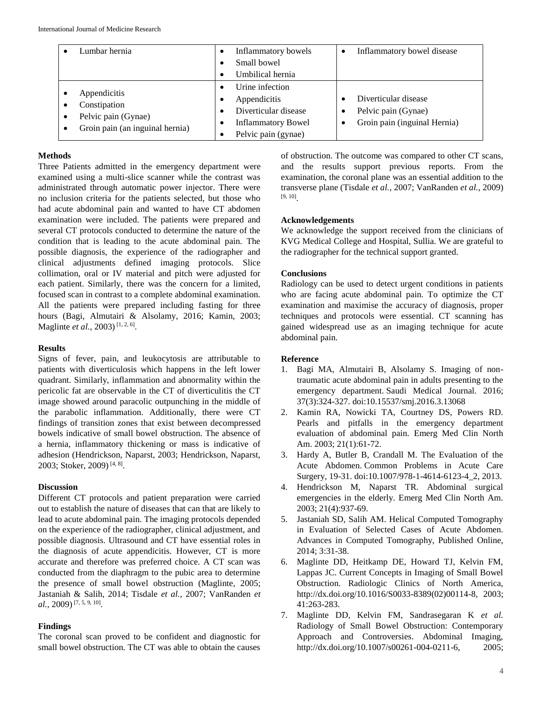| Lumbar hernia                                                                               | Inflammatory bowels<br>Small bowel                                                                          | Inflammatory bowel disease                                                  |
|---------------------------------------------------------------------------------------------|-------------------------------------------------------------------------------------------------------------|-----------------------------------------------------------------------------|
|                                                                                             | Umbilical hernia                                                                                            |                                                                             |
| Appendicitis<br>Constipation<br>Pelvic pain (Gynae)<br>٠<br>Groin pain (an inguinal hernia) | Urine infection<br>Appendicitis<br>Diverticular disease<br><b>Inflammatory Bowel</b><br>Pelvic pain (gynae) | Diverticular disease<br>Pelvic pain (Gynae)<br>Groin pain (inguinal Hernia) |

## **Methods**

Three Patients admitted in the emergency department were examined using a multi-slice scanner while the contrast was administrated through automatic power injector. There were no inclusion criteria for the patients selected, but those who had acute abdominal pain and wanted to have CT abdomen examination were included. The patients were prepared and several CT protocols conducted to determine the nature of the condition that is leading to the acute abdominal pain. The possible diagnosis, the experience of the radiographer and clinical adjustments defined imaging protocols. Slice collimation, oral or IV material and pitch were adjusted for each patient. Similarly, there was the concern for a limited, focused scan in contrast to a complete abdominal examination. All the patients were prepared including fasting for three hours (Bagi, Almutairi & Alsolamy, 2016; Kamin, 2003; Maglinte *et al.*, 2003)<sup>[1, 2, 6].</sup>

#### **Results**

Signs of fever, pain, and leukocytosis are attributable to patients with diverticulosis which happens in the left lower quadrant. Similarly, inflammation and abnormality within the pericolic fat are observable in the CT of diverticulitis the CT image showed around paracolic outpunching in the middle of the parabolic inflammation. Additionally, there were CT findings of transition zones that exist between decompressed bowels indicative of small bowel obstruction. The absence of a hernia, inflammatory thickening or mass is indicative of adhesion (Hendrickson, Naparst, 2003; Hendrickson, Naparst, 2003; Stoker, 2009)<sup>[4, 8]</sup>.

## **Discussion**

Different CT protocols and patient preparation were carried out to establish the nature of diseases that can that are likely to lead to acute abdominal pain. The imaging protocols depended on the experience of the radiographer, clinical adjustment, and possible diagnosis. Ultrasound and CT have essential roles in the diagnosis of acute appendicitis. However, CT is more accurate and therefore was preferred choice. A CT scan was conducted from the diaphragm to the pubic area to determine the presence of small bowel obstruction (Maglinte, 2005; Jastaniah & Salih, 2014; Tisdale *et al.*, 2007; VanRanden *et al.*, 2009) [7, 5, 9, 10] .

## **Findings**

The coronal scan proved to be confident and diagnostic for small bowel obstruction. The CT was able to obtain the causes

of obstruction. The outcome was compared to other CT scans, and the results support previous reports. From the examination, the coronal plane was an essential addition to the transverse plane (Tisdale *et al.*, 2007; VanRanden *et al.*, 2009) [9, 10] .

## **Acknowledgements**

We acknowledge the support received from the clinicians of KVG Medical College and Hospital, Sullia. We are grateful to the radiographer for the technical support granted.

## **Conclusions**

Radiology can be used to detect urgent conditions in patients who are facing acute abdominal pain. To optimize the CT examination and maximise the accuracy of diagnosis, proper techniques and protocols were essential. CT scanning has gained widespread use as an imaging technique for acute abdominal pain.

## **Reference**

- 1. Bagi MA, Almutairi B, Alsolamy S. Imaging of nontraumatic acute abdominal pain in adults presenting to the emergency department. Saudi Medical Journal. 2016; 37(3):324-327. doi:10.15537/smj.2016.3.13068
- 2. Kamin RA, Nowicki TA, Courtney DS, Powers RD. Pearls and pitfalls in the emergency department evaluation of abdominal pain. Emerg Med Clin North Am. 2003; 21(1):61-72.
- 3. Hardy A, Butler B, Crandall M. The Evaluation of the Acute Abdomen. Common Problems in Acute Care Surgery, 19-31. doi:10.1007/978-1-4614-6123-4 2, 2013.
- 4. Hendrickson M, Naparst TR. Abdominal surgical emergencies in the elderly. Emerg Med Clin North Am. 2003; 21(4):937-69.
- 5. Jastaniah SD, Salih AM. Helical Computed Tomography in Evaluation of Selected Cases of Acute Abdomen. Advances in Computed Tomography, Published Online, 2014; 3:31-38.
- 6. Maglinte DD, Heitkamp DE, Howard TJ, Kelvin FM, Lappas JC. Current Concepts in Imaging of Small Bowel Obstruction. Radiologic Clinics of North America, http://dx.doi.org/10.1016/S0033-8389(02)00114-8, 2003; 41:263-283.
- 7. Maglinte DD, Kelvin FM, Sandrasegaran K *et al.* Radiology of Small Bowel Obstruction: Contemporary Approach and Controversies. Abdominal Imaging, http://dx.doi.org/10.1007/s00261-004-0211-6, 2005;